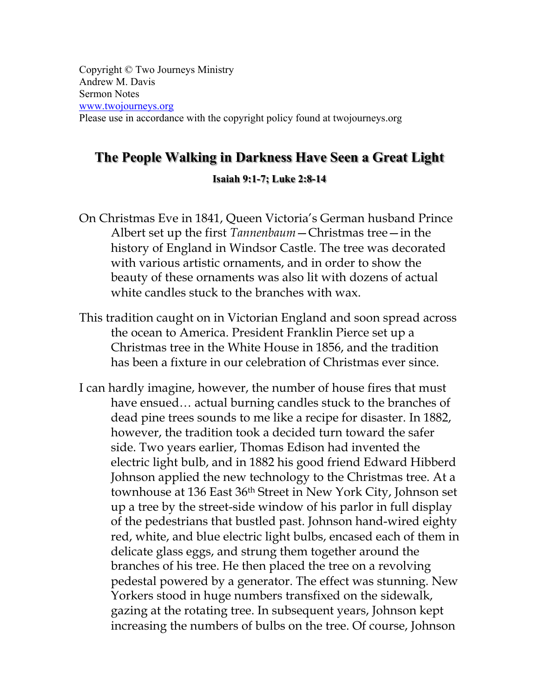Copyright © Two Journeys Ministry Andrew M. Davis Sermon Notes www.twojourneys.org Please use in accordance with the copyright policy found at twojourneys.org

# **The People Walking in Darkness Have Seen a Great Light**

#### **Isaiah 9:1-7; Luke 2:8-14**

- On Christmas Eve in 1841, Queen Victoria's German husband Prince Albert set up the first *Tannenbaum*—Christmas tree—in the history of England in Windsor Castle. The tree was decorated with various artistic ornaments, and in order to show the beauty of these ornaments was also lit with dozens of actual white candles stuck to the branches with wax.
- This tradition caught on in Victorian England and soon spread across the ocean to America. President Franklin Pierce set up a Christmas tree in the White House in 1856, and the tradition has been a fixture in our celebration of Christmas ever since.
- I can hardly imagine, however, the number of house fires that must have ensued... actual burning candles stuck to the branches of dead pine trees sounds to me like a recipe for disaster. In 1882, however, the tradition took a decided turn toward the safer side. Two years earlier, Thomas Edison had invented the electric light bulb, and in 1882 his good friend Edward Hibberd Johnson applied the new technology to the Christmas tree. At a townhouse at 136 East 36<sup>th</sup> Street in New York City, Johnson set up a tree by the street-side window of his parlor in full display of the pedestrians that bustled past. Johnson hand-wired eighty red, white, and blue electric light bulbs, encased each of them in delicate glass eggs, and strung them together around the branches of his tree. He then placed the tree on a revolving pedestal powered by a generator. The effect was stunning. New Yorkers stood in huge numbers transfixed on the sidewalk, gazing at the rotating tree. In subsequent years, Johnson kept increasing the numbers of bulbs on the tree. Of course, Johnson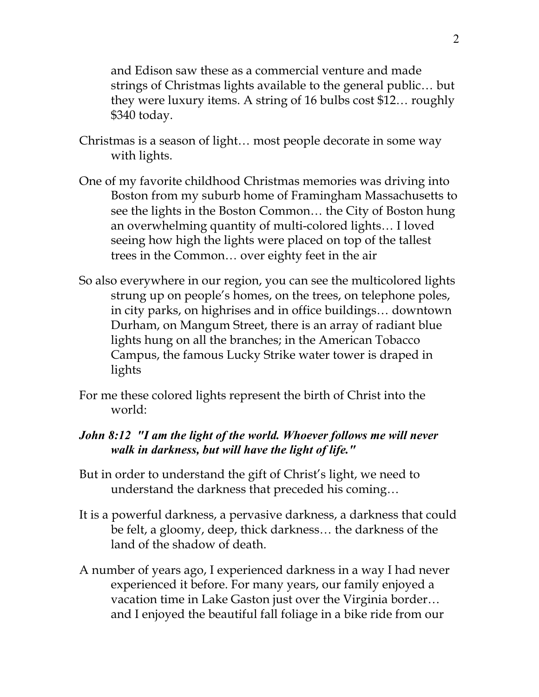and Edison saw these as a commercial venture and made strings of Christmas lights available to the general public… but they were luxury items. A string of 16 bulbs cost \$12… roughly \$340 today.

- Christmas is a season of light… most people decorate in some way with lights.
- One of my favorite childhood Christmas memories was driving into Boston from my suburb home of Framingham Massachusetts to see the lights in the Boston Common… the City of Boston hung an overwhelming quantity of multi-colored lights… I loved seeing how high the lights were placed on top of the tallest trees in the Common… over eighty feet in the air
- So also everywhere in our region, you can see the multicolored lights strung up on people's homes, on the trees, on telephone poles, in city parks, on highrises and in office buildings… downtown Durham, on Mangum Street, there is an array of radiant blue lights hung on all the branches; in the American Tobacco Campus, the famous Lucky Strike water tower is draped in lights
- For me these colored lights represent the birth of Christ into the world:

#### *John 8:12 "I am the light of the world. Whoever follows me will never walk in darkness, but will have the light of life."*

- But in order to understand the gift of Christ's light, we need to understand the darkness that preceded his coming…
- It is a powerful darkness, a pervasive darkness, a darkness that could be felt, a gloomy, deep, thick darkness… the darkness of the land of the shadow of death.
- A number of years ago, I experienced darkness in a way I had never experienced it before. For many years, our family enjoyed a vacation time in Lake Gaston just over the Virginia border… and I enjoyed the beautiful fall foliage in a bike ride from our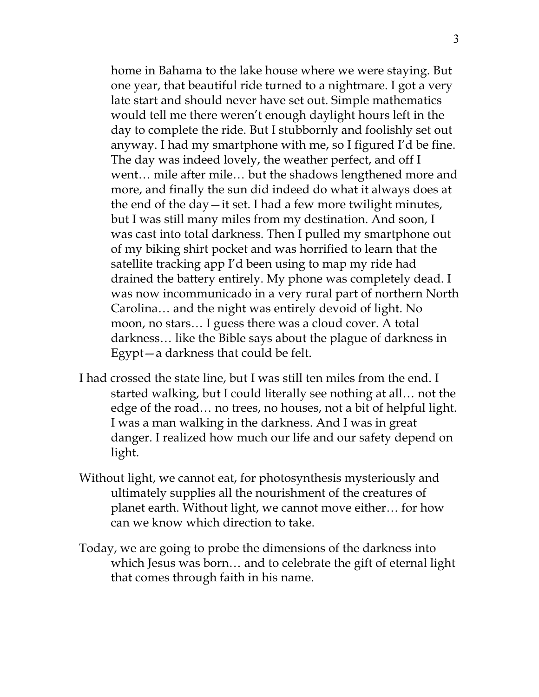home in Bahama to the lake house where we were staying. But one year, that beautiful ride turned to a nightmare. I got a very late start and should never have set out. Simple mathematics would tell me there weren't enough daylight hours left in the day to complete the ride. But I stubbornly and foolishly set out anyway. I had my smartphone with me, so I figured I'd be fine. The day was indeed lovely, the weather perfect, and off I went… mile after mile… but the shadows lengthened more and more, and finally the sun did indeed do what it always does at the end of the day—it set. I had a few more twilight minutes, but I was still many miles from my destination. And soon, I was cast into total darkness. Then I pulled my smartphone out of my biking shirt pocket and was horrified to learn that the satellite tracking app I'd been using to map my ride had drained the battery entirely. My phone was completely dead. I was now incommunicado in a very rural part of northern North Carolina… and the night was entirely devoid of light. No moon, no stars… I guess there was a cloud cover. A total darkness… like the Bible says about the plague of darkness in Egypt—a darkness that could be felt.

- I had crossed the state line, but I was still ten miles from the end. I started walking, but I could literally see nothing at all… not the edge of the road… no trees, no houses, not a bit of helpful light. I was a man walking in the darkness. And I was in great danger. I realized how much our life and our safety depend on light.
- Without light, we cannot eat, for photosynthesis mysteriously and ultimately supplies all the nourishment of the creatures of planet earth. Without light, we cannot move either… for how can we know which direction to take.
- Today, we are going to probe the dimensions of the darkness into which Jesus was born… and to celebrate the gift of eternal light that comes through faith in his name.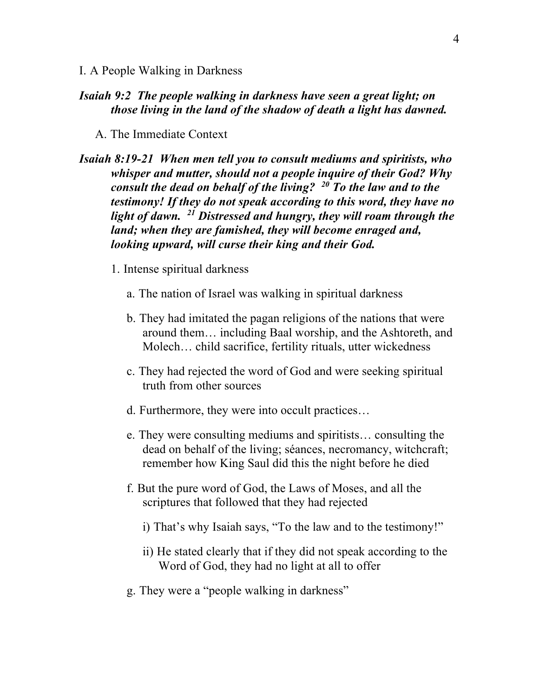I. A People Walking in Darkness

#### *Isaiah 9:2 The people walking in darkness have seen a great light; on those living in the land of the shadow of death a light has dawned.*

- A. The Immediate Context
- *Isaiah 8:19-21 When men tell you to consult mediums and spiritists, who whisper and mutter, should not a people inquire of their God? Why consult the dead on behalf of the living? 20 To the law and to the testimony! If they do not speak according to this word, they have no light of dawn. 21 Distressed and hungry, they will roam through the land; when they are famished, they will become enraged and, looking upward, will curse their king and their God.*
	- 1. Intense spiritual darkness
		- a. The nation of Israel was walking in spiritual darkness
		- b. They had imitated the pagan religions of the nations that were around them… including Baal worship, and the Ashtoreth, and Molech… child sacrifice, fertility rituals, utter wickedness
		- c. They had rejected the word of God and were seeking spiritual truth from other sources
		- d. Furthermore, they were into occult practices…
		- e. They were consulting mediums and spiritists… consulting the dead on behalf of the living; séances, necromancy, witchcraft; remember how King Saul did this the night before he died
		- f. But the pure word of God, the Laws of Moses, and all the scriptures that followed that they had rejected
			- i) That's why Isaiah says, "To the law and to the testimony!"
			- ii) He stated clearly that if they did not speak according to the Word of God, they had no light at all to offer
		- g. They were a "people walking in darkness"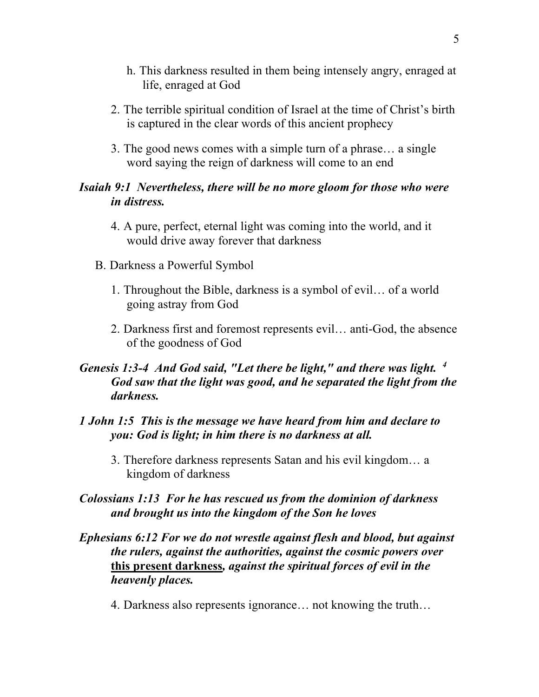- h. This darkness resulted in them being intensely angry, enraged at life, enraged at God
- 2. The terrible spiritual condition of Israel at the time of Christ's birth is captured in the clear words of this ancient prophecy
- 3. The good news comes with a simple turn of a phrase… a single word saying the reign of darkness will come to an end

#### *Isaiah 9:1 Nevertheless, there will be no more gloom for those who were in distress.*

- 4. A pure, perfect, eternal light was coming into the world, and it would drive away forever that darkness
- B. Darkness a Powerful Symbol
	- 1. Throughout the Bible, darkness is a symbol of evil… of a world going astray from God
	- 2. Darkness first and foremost represents evil… anti-God, the absence of the goodness of God

### *Genesis 1:3-4 And God said, "Let there be light," and there was light. 4 God saw that the light was good, and he separated the light from the darkness.*

#### *1 John 1:5 This is the message we have heard from him and declare to you: God is light; in him there is no darkness at all.*

3. Therefore darkness represents Satan and his evil kingdom… a kingdom of darkness

### *Colossians 1:13 For he has rescued us from the dominion of darkness and brought us into the kingdom of the Son he loves*

- *Ephesians 6:12 For we do not wrestle against flesh and blood, but against the rulers, against the authorities, against the cosmic powers over*  **this present darkness***, against the spiritual forces of evil in the heavenly places.*
	- 4. Darkness also represents ignorance… not knowing the truth…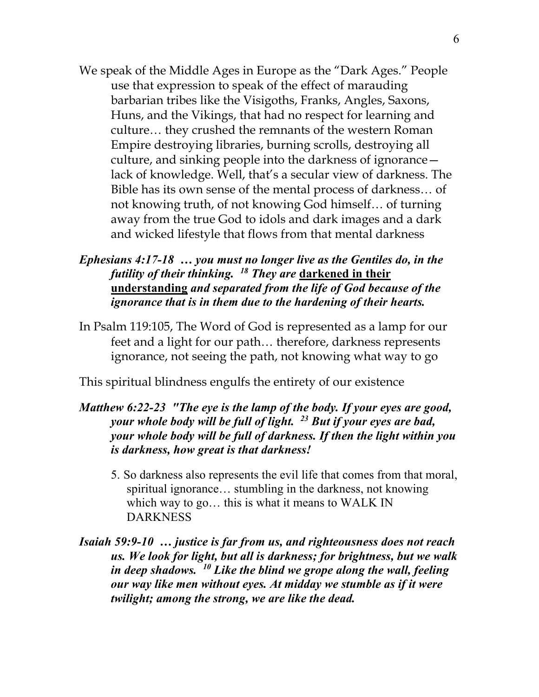- We speak of the Middle Ages in Europe as the "Dark Ages." People use that expression to speak of the effect of marauding barbarian tribes like the Visigoths, Franks, Angles, Saxons, Huns, and the Vikings, that had no respect for learning and culture… they crushed the remnants of the western Roman Empire destroying libraries, burning scrolls, destroying all culture, and sinking people into the darkness of ignorance lack of knowledge. Well, that's a secular view of darkness. The Bible has its own sense of the mental process of darkness… of not knowing truth, of not knowing God himself… of turning away from the true God to idols and dark images and a dark and wicked lifestyle that flows from that mental darkness
- *Ephesians 4:17-18 … you must no longer live as the Gentiles do, in the futility of their thinking. 18 They are* **darkened in their understanding** *and separated from the life of God because of the ignorance that is in them due to the hardening of their hearts.*
- In Psalm 119:105, The Word of God is represented as a lamp for our feet and a light for our path… therefore, darkness represents ignorance, not seeing the path, not knowing what way to go

This spiritual blindness engulfs the entirety of our existence

- *Matthew 6:22-23 "The eye is the lamp of the body. If your eyes are good, your whole body will be full of light. 23 But if your eyes are bad, your whole body will be full of darkness. If then the light within you is darkness, how great is that darkness!*
	- 5. So darkness also represents the evil life that comes from that moral, spiritual ignorance… stumbling in the darkness, not knowing which way to go… this is what it means to WALK IN DARKNESS
- *Isaiah 59:9-10 … justice is far from us, and righteousness does not reach us. We look for light, but all is darkness; for brightness, but we walk in deep shadows. 10 Like the blind we grope along the wall, feeling our way like men without eyes. At midday we stumble as if it were twilight; among the strong, we are like the dead.*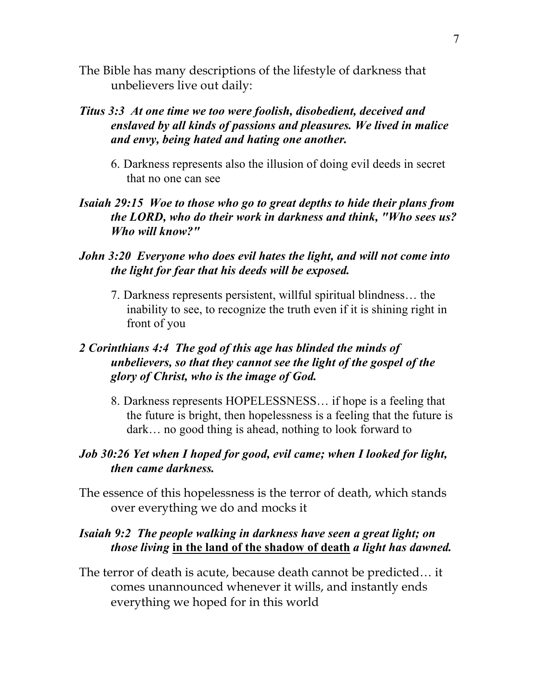The Bible has many descriptions of the lifestyle of darkness that unbelievers live out daily:

### *Titus 3:3 At one time we too were foolish, disobedient, deceived and enslaved by all kinds of passions and pleasures. We lived in malice and envy, being hated and hating one another.*

6. Darkness represents also the illusion of doing evil deeds in secret that no one can see

#### *Isaiah 29:15 Woe to those who go to great depths to hide their plans from the LORD, who do their work in darkness and think, "Who sees us? Who will know?"*

### *John 3:20 Everyone who does evil hates the light, and will not come into the light for fear that his deeds will be exposed.*

7. Darkness represents persistent, willful spiritual blindness… the inability to see, to recognize the truth even if it is shining right in front of you

### *2 Corinthians 4:4 The god of this age has blinded the minds of unbelievers, so that they cannot see the light of the gospel of the glory of Christ, who is the image of God.*

8. Darkness represents HOPELESSNESS… if hope is a feeling that the future is bright, then hopelessness is a feeling that the future is dark… no good thing is ahead, nothing to look forward to

### *Job 30:26 Yet when I hoped for good, evil came; when I looked for light, then came darkness.*

The essence of this hopelessness is the terror of death, which stands over everything we do and mocks it

### *Isaiah 9:2 The people walking in darkness have seen a great light; on those living* **in the land of the shadow of death** *a light has dawned.*

The terror of death is acute, because death cannot be predicted… it comes unannounced whenever it wills, and instantly ends everything we hoped for in this world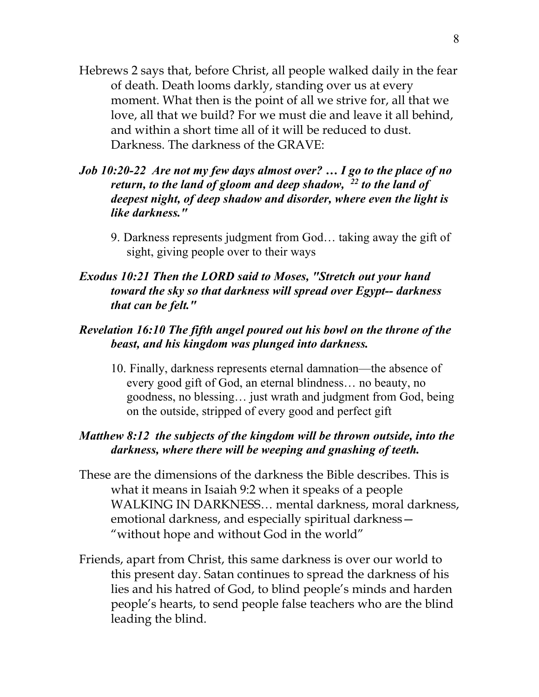- Hebrews 2 says that, before Christ, all people walked daily in the fear of death. Death looms darkly, standing over us at every moment. What then is the point of all we strive for, all that we love, all that we build? For we must die and leave it all behind, and within a short time all of it will be reduced to dust. Darkness. The darkness of the GRAVE:
- *Job 10:20-22 Are not my few days almost over? … I go to the place of no return, to the land of gloom and deep shadow, 22 to the land of deepest night, of deep shadow and disorder, where even the light is like darkness."*
	- 9. Darkness represents judgment from God… taking away the gift of sight, giving people over to their ways

### *Exodus 10:21 Then the LORD said to Moses, "Stretch out your hand toward the sky so that darkness will spread over Egypt-- darkness that can be felt."*

### *Revelation 16:10 The fifth angel poured out his bowl on the throne of the beast, and his kingdom was plunged into darkness.*

10. Finally, darkness represents eternal damnation—the absence of every good gift of God, an eternal blindness… no beauty, no goodness, no blessing… just wrath and judgment from God, being on the outside, stripped of every good and perfect gift

### *Matthew 8:12 the subjects of the kingdom will be thrown outside, into the darkness, where there will be weeping and gnashing of teeth.*

- These are the dimensions of the darkness the Bible describes. This is what it means in Isaiah 9:2 when it speaks of a people WALKING IN DARKNESS… mental darkness, moral darkness, emotional darkness, and especially spiritual darkness— "without hope and without God in the world"
- Friends, apart from Christ, this same darkness is over our world to this present day. Satan continues to spread the darkness of his lies and his hatred of God, to blind people's minds and harden people's hearts, to send people false teachers who are the blind leading the blind.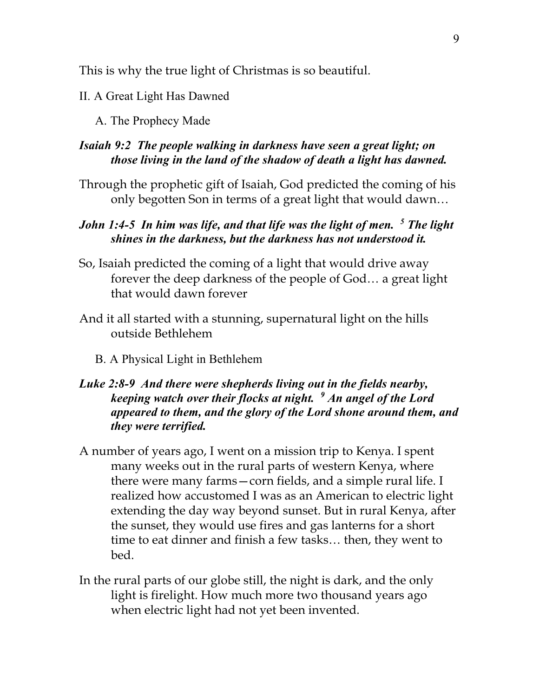This is why the true light of Christmas is so beautiful.

#### II. A Great Light Has Dawned

A. The Prophecy Made

#### *Isaiah 9:2 The people walking in darkness have seen a great light; on those living in the land of the shadow of death a light has dawned.*

Through the prophetic gift of Isaiah, God predicted the coming of his only begotten Son in terms of a great light that would dawn…

### *John 1:4-5 In him was life, and that life was the light of men.* <sup>5</sup> *The light shines in the darkness, but the darkness has not understood it.*

- So, Isaiah predicted the coming of a light that would drive away forever the deep darkness of the people of God… a great light that would dawn forever
- And it all started with a stunning, supernatural light on the hills outside Bethlehem
	- B. A Physical Light in Bethlehem

### *Luke 2:8-9 And there were shepherds living out in the fields nearby, keeping watch over their flocks at night. 9 An angel of the Lord appeared to them, and the glory of the Lord shone around them, and they were terrified.*

- A number of years ago, I went on a mission trip to Kenya. I spent many weeks out in the rural parts of western Kenya, where there were many farms—corn fields, and a simple rural life. I realized how accustomed I was as an American to electric light extending the day way beyond sunset. But in rural Kenya, after the sunset, they would use fires and gas lanterns for a short time to eat dinner and finish a few tasks… then, they went to bed.
- In the rural parts of our globe still, the night is dark, and the only light is firelight. How much more two thousand years ago when electric light had not yet been invented.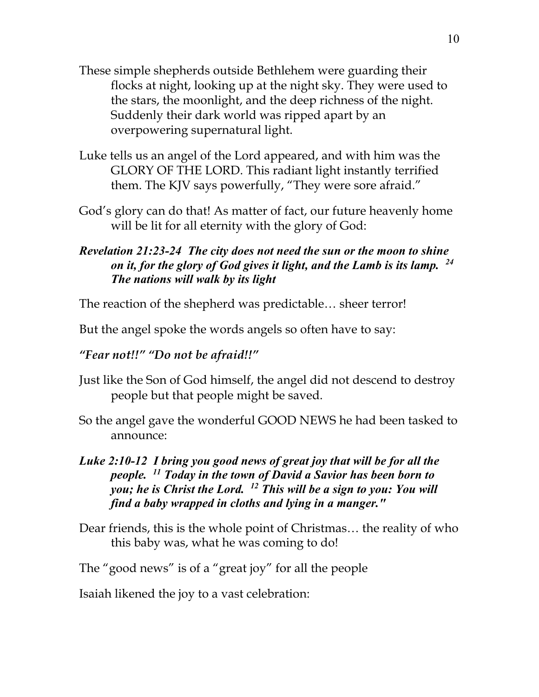- These simple shepherds outside Bethlehem were guarding their flocks at night, looking up at the night sky. They were used to the stars, the moonlight, and the deep richness of the night. Suddenly their dark world was ripped apart by an overpowering supernatural light.
- Luke tells us an angel of the Lord appeared, and with him was the GLORY OF THE LORD. This radiant light instantly terrified them. The KJV says powerfully, "They were sore afraid."
- God's glory can do that! As matter of fact, our future heavenly home will be lit for all eternity with the glory of God:

### *Revelation 21:23-24 The city does not need the sun or the moon to shine on it, for the glory of God gives it light, and the Lamb is its lamp. 24 The nations will walk by its light*

The reaction of the shepherd was predictable… sheer terror!

But the angel spoke the words angels so often have to say:

## *"Fear not!!" "Do not be afraid!!"*

- Just like the Son of God himself, the angel did not descend to destroy people but that people might be saved.
- So the angel gave the wonderful GOOD NEWS he had been tasked to announce:

### *Luke 2:10-12 I bring you good news of great joy that will be for all the people. 11 Today in the town of David a Savior has been born to you; he is Christ the Lord. 12 This will be a sign to you: You will find a baby wrapped in cloths and lying in a manger."*

Dear friends, this is the whole point of Christmas… the reality of who this baby was, what he was coming to do!

The "good news" is of a "great joy" for all the people

Isaiah likened the joy to a vast celebration: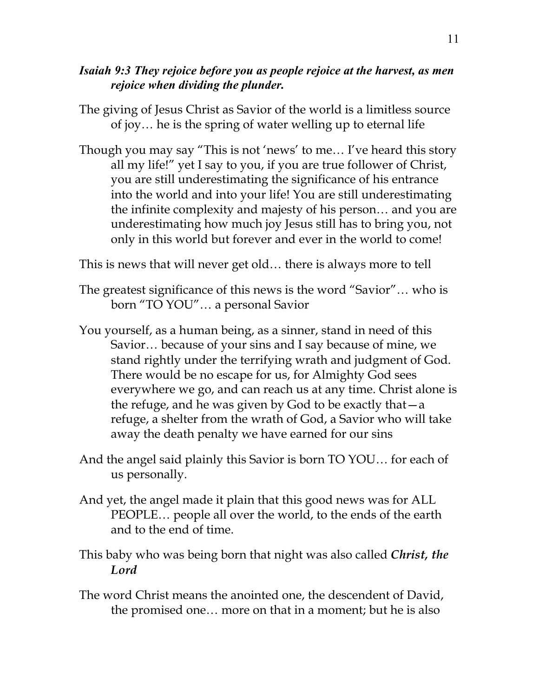### *Isaiah 9:3 They rejoice before you as people rejoice at the harvest, as men rejoice when dividing the plunder.*

- The giving of Jesus Christ as Savior of the world is a limitless source of joy… he is the spring of water welling up to eternal life
- Though you may say "This is not 'news' to me… I've heard this story all my life!" yet I say to you, if you are true follower of Christ, you are still underestimating the significance of his entrance into the world and into your life! You are still underestimating the infinite complexity and majesty of his person… and you are underestimating how much joy Jesus still has to bring you, not only in this world but forever and ever in the world to come!

This is news that will never get old… there is always more to tell

- The greatest significance of this news is the word "Savior"… who is born "TO YOU"… a personal Savior
- You yourself, as a human being, as a sinner, stand in need of this Savior… because of your sins and I say because of mine, we stand rightly under the terrifying wrath and judgment of God. There would be no escape for us, for Almighty God sees everywhere we go, and can reach us at any time. Christ alone is the refuge, and he was given by God to be exactly that—a refuge, a shelter from the wrath of God, a Savior who will take away the death penalty we have earned for our sins
- And the angel said plainly this Savior is born TO YOU… for each of us personally.
- And yet, the angel made it plain that this good news was for ALL PEOPLE… people all over the world, to the ends of the earth and to the end of time.
- This baby who was being born that night was also called *Christ, the Lord*
- The word Christ means the anointed one, the descendent of David, the promised one… more on that in a moment; but he is also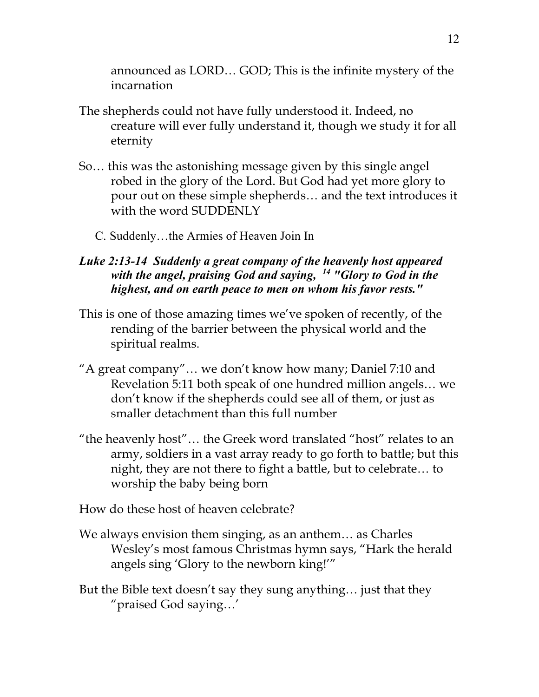announced as LORD… GOD; This is the infinite mystery of the incarnation

- The shepherds could not have fully understood it. Indeed, no creature will ever fully understand it, though we study it for all eternity
- So… this was the astonishing message given by this single angel robed in the glory of the Lord. But God had yet more glory to pour out on these simple shepherds… and the text introduces it with the word SUDDENLY
	- C. Suddenly…the Armies of Heaven Join In

### *Luke 2:13-14 Suddenly a great company of the heavenly host appeared with the angel, praising God and saying, 14 "Glory to God in the highest, and on earth peace to men on whom his favor rests."*

- This is one of those amazing times we've spoken of recently, of the rending of the barrier between the physical world and the spiritual realms.
- "A great company"… we don't know how many; Daniel 7:10 and Revelation 5:11 both speak of one hundred million angels… we don't know if the shepherds could see all of them, or just as smaller detachment than this full number
- "the heavenly host"… the Greek word translated "host" relates to an army, soldiers in a vast array ready to go forth to battle; but this night, they are not there to fight a battle, but to celebrate… to worship the baby being born

How do these host of heaven celebrate?

- We always envision them singing, as an anthem… as Charles Wesley's most famous Christmas hymn says, "Hark the herald angels sing 'Glory to the newborn king!'"
- But the Bible text doesn't say they sung anything… just that they "praised God saying…'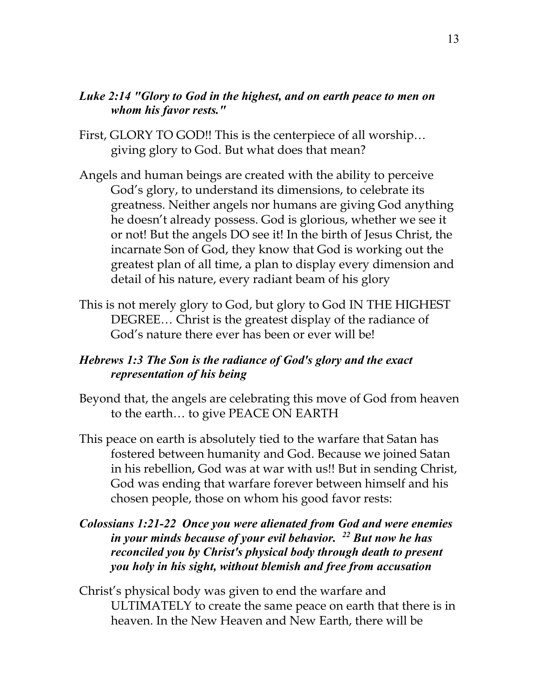#### *Luke 2:14 "Glory to God in the highest, and on earth peace to men on whom his favor rests."*

- First, GLORY TO GOD!! This is the centerpiece of all worship... giving glory to God. But what does that mean?
- Angels and human beings are created with the ability to perceive God's glory, to understand its dimensions, to celebrate its greatness. Neither angels nor humans are giving God anything he doesn't already possess. God is glorious, whether we see it or not! But the angels DO see it! In the birth of Jesus Christ, the incarnate Son of God, they know that God is working out the greatest plan of all time, a plan to display every dimension and detail of his nature, every radiant beam of his glory
- This is not merely glory to God, but glory to God IN THE HIGHEST DEGREE… Christ is the greatest display of the radiance of God's nature there ever has been or ever will be!

### *Hebrews 1:3 The Son is the radiance of God's glory and the exact representation of his being*

- Beyond that, the angels are celebrating this move of God from heaven to the earth… to give PEACE ON EARTH
- This peace on earth is absolutely tied to the warfare that Satan has fostered between humanity and God. Because we joined Satan in his rebellion, God was at war with us!! But in sending Christ, God was ending that warfare forever between himself and his chosen people, those on whom his good favor rests:
- *Colossians 1:21-22 Once you were alienated from God and were enemies in your minds because of your evil behavior. 22 But now he has reconciled you by Christ's physical body through death to present you holy in his sight, without blemish and free from accusation*
- Christ's physical body was given to end the warfare and ULTIMATELY to create the same peace on earth that there is in heaven. In the New Heaven and New Earth, there will be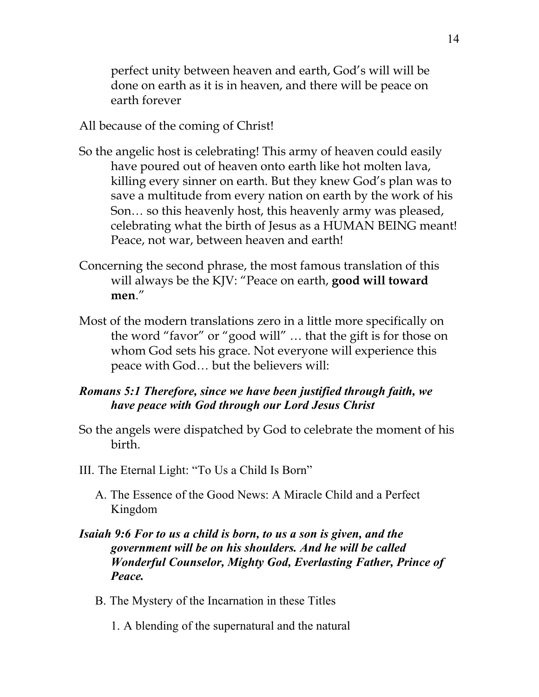perfect unity between heaven and earth, God's will will be done on earth as it is in heaven, and there will be peace on earth forever

All because of the coming of Christ!

- So the angelic host is celebrating! This army of heaven could easily have poured out of heaven onto earth like hot molten lava, killing every sinner on earth. But they knew God's plan was to save a multitude from every nation on earth by the work of his Son… so this heavenly host, this heavenly army was pleased, celebrating what the birth of Jesus as a HUMAN BEING meant! Peace, not war, between heaven and earth!
- Concerning the second phrase, the most famous translation of this will always be the KJV: "Peace on earth, **good will toward men**."
- Most of the modern translations zero in a little more specifically on the word "favor" or "good will" … that the gift is for those on whom God sets his grace. Not everyone will experience this peace with God… but the believers will:

### *Romans 5:1 Therefore, since we have been justified through faith, we have peace with God through our Lord Jesus Christ*

- So the angels were dispatched by God to celebrate the moment of his birth.
- III. The Eternal Light: "To Us a Child Is Born"
	- A. The Essence of the Good News: A Miracle Child and a Perfect Kingdom

### *Isaiah 9:6 For to us a child is born, to us a son is given, and the government will be on his shoulders. And he will be called Wonderful Counselor, Mighty God, Everlasting Father, Prince of Peace.*

- B. The Mystery of the Incarnation in these Titles
	- 1. A blending of the supernatural and the natural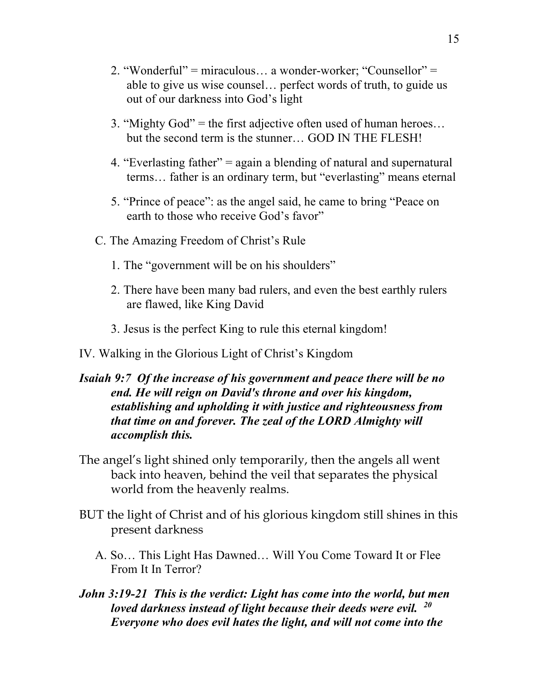- 2. "Wonderful" = miraculous… a wonder-worker; "Counsellor" = able to give us wise counsel… perfect words of truth, to guide us out of our darkness into God's light
- 3. "Mighty God" = the first adjective often used of human heroes… but the second term is the stunner… GOD IN THE FLESH!
- 4. "Everlasting father" = again a blending of natural and supernatural terms… father is an ordinary term, but "everlasting" means eternal
- 5. "Prince of peace": as the angel said, he came to bring "Peace on earth to those who receive God's favor"
- C. The Amazing Freedom of Christ's Rule
	- 1. The "government will be on his shoulders"
	- 2. There have been many bad rulers, and even the best earthly rulers are flawed, like King David
	- 3. Jesus is the perfect King to rule this eternal kingdom!

#### IV. Walking in the Glorious Light of Christ's Kingdom

### *Isaiah 9:7 Of the increase of his government and peace there will be no end. He will reign on David's throne and over his kingdom, establishing and upholding it with justice and righteousness from that time on and forever. The zeal of the LORD Almighty will accomplish this.*

- The angel's light shined only temporarily, then the angels all went back into heaven, behind the veil that separates the physical world from the heavenly realms.
- BUT the light of Christ and of his glorious kingdom still shines in this present darkness
	- A. So… This Light Has Dawned… Will You Come Toward It or Flee From It In Terror?
- *John 3:19-21 This is the verdict: Light has come into the world, but men loved darkness instead of light because their deeds were evil. 20 Everyone who does evil hates the light, and will not come into the*